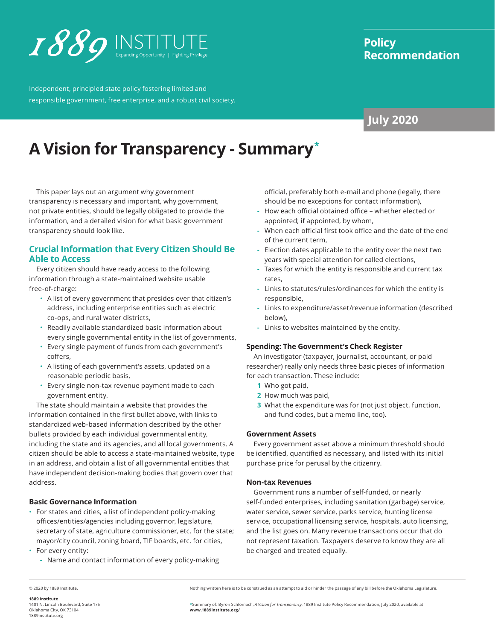

Independent, principled state policy fostering limited and responsible government, free enterprise, and a robust civil society.

# **Policy Recommendation**

# **July 2020**

# **A Vision for Transparency - Summary\***

This paper lays out an argument why government transparency is necessary and important, why government, not private entities, should be legally obligated to provide the information, and a detailed vision for what basic government transparency should look like.

### **Crucial Information that Every Citizen Should Be Able to Access**

Every citizen should have ready access to the following information through a state-maintained website usable free-of-charge:

- A list of every government that presides over that citizen's address, including enterprise entities such as electric co-ops, and rural water districts,
- Readily available standardized basic information about every single governmental entity in the list of governments,
- Every single payment of funds from each government's coffers,
- A listing of each government's assets, updated on a reasonable periodic basis,
- Every single non-tax revenue payment made to each government entity.

The state should maintain a website that provides the information contained in the first bullet above, with links to standardized web-based information described by the other bullets provided by each individual governmental entity, including the state and its agencies, and all local governments. A citizen should be able to access a state-maintained website, type in an address, and obtain a list of all governmental entities that have independent decision-making bodies that govern over that address.

#### **Basic Governance Information**

- For states and cities, a list of independent policy-making offices/entities/agencies including governor, legislature, secretary of state, agriculture commissioner, etc. for the state; mayor/city council, zoning board, TIF boards, etc. for cities,
- For every entity:
	- **-** Name and contact information of every policy-making

official, preferably both e-mail and phone (legally, there should be no exceptions for contact information),

- **-** How each official obtained office whether elected or appointed; if appointed, by whom,
- **-** When each official first took office and the date of the end of the current term,
- **-** Election dates applicable to the entity over the next two years with special attention for called elections,
- **-** Taxes for which the entity is responsible and current tax rates,
- **-** Links to statutes/rules/ordinances for which the entity is responsible,
- **-** Links to expenditure/asset/revenue information (described below),
- **-** Links to websites maintained by the entity.

#### **Spending: The Government's Check Register**

An investigator (taxpayer, journalist, accountant, or paid researcher) really only needs three basic pieces of information for each transaction. These include:

- **1** Who got paid,
- **2** How much was paid,
- **3** What the expenditure was for (not just object, function, and fund codes, but a memo line, too).

#### **Government Assets**

Every government asset above a minimum threshold should be identified, quantified as necessary, and listed with its initial purchase price for perusal by the citizenry.

#### **Non-tax Revenues**

Government runs a number of self-funded, or nearly self-funded enterprises, including sanitation (garbage) service, water service, sewer service, parks service, hunting license service, occupational licensing service, hospitals, auto licensing, and the list goes on. Many revenue transactions occur that do not represent taxation. Taxpayers deserve to know they are all be charged and treated equally.

© 2020 by 1889 Institute.

Nothing written here is to be construed as an attempt to aid or hinder the passage of any bill before the Oklahoma Legislature.

\*Summary of: Byron Schlomach, *A Vision for Transparency*, 1889 Institute Policy Recommendation, July 2020, available at: **www.[1889institute.org/](https://www.1889institute.org/)**